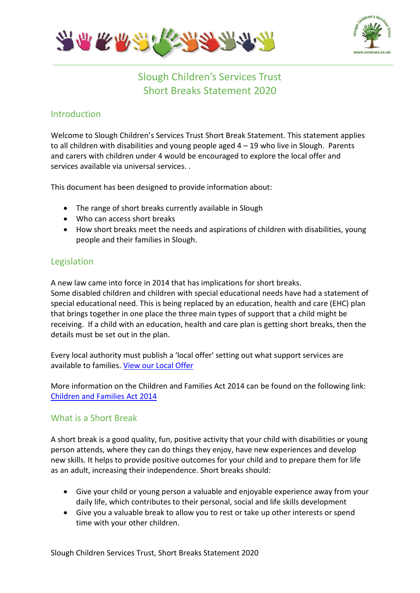



Slough Children's Services Trust Short Breaks Statement 2020

# Introduction

Welcome to Slough Children's Services Trust Short Break Statement. This statement applies to all children with disabilities and young people aged 4 – 19 who live in Slough. Parents and carers with children under 4 would be encouraged to explore the local offer and services available via universal services. .

This document has been designed to provide information about:

- The range of short breaks currently available in Slough
- Who can access short breaks
- How short breaks meet the needs and aspirations of children with disabilities, young people and their families in Slough.

# Legislation

A new law came into force in 2014 that has implications for short breaks. Some disabled children and children with special educational needs have had a statement of special educational need. This is being replaced by an education, health and care (EHC) plan that brings together in one place the three main types of support that a child might be receiving. If a child with an education, health and care plan is getting short breaks, then the details must be set out in the plan.

Every local authority must publish a 'local offer' setting out what support services are available to families[. View our Local Offer](https://www.sloughfamilyservices.org.uk/kb5/sloughcst/directory/localoffer.page?directorychannel=5)

More information on the Children and Families Act 2014 can be found on the following link: [Children and Families Act 2014](http://www.legislation.gov.uk/ukpga/2014/6/contents/enacted)

## What is a Short Break

A short break is a good quality, fun, positive activity that your child with disabilities or young person attends, where they can do things they enjoy, have new experiences and develop new skills. It helps to provide positive outcomes for your child and to prepare them for life as an adult, increasing their independence. Short breaks should:

- Give your child or young person a valuable and enjoyable experience away from your daily life, which contributes to their personal, social and life skills development
- Give you a valuable break to allow you to rest or take up other interests or spend time with your other children.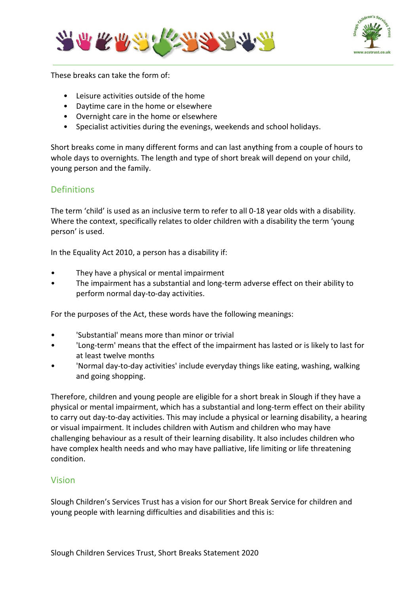



These breaks can take the form of:

- Leisure activities outside of the home
- Daytime care in the home or elsewhere
- Overnight care in the home or elsewhere
- Specialist activities during the evenings, weekends and school holidays.

Short breaks come in many different forms and can last anything from a couple of hours to whole days to overnights. The length and type of short break will depend on your child, young person and the family.

# **Definitions**

The term 'child' is used as an inclusive term to refer to all 0-18 year olds with a disability. Where the context, specifically relates to older children with a disability the term 'young person' is used.

In the Equality Act 2010, a person has a disability if:

- They have a physical or mental impairment
- The impairment has a substantial and long-term adverse effect on their ability to perform normal day-to-day activities.

For the purposes of the Act, these words have the following meanings:

- 'Substantial' means more than minor or trivial
- 'Long-term' means that the effect of the impairment has lasted or is likely to last for at least twelve months
- 'Normal day-to-day activities' include everyday things like eating, washing, walking and going shopping.

Therefore, children and young people are eligible for a short break in Slough if they have a physical or mental impairment, which has a substantial and long-term effect on their ability to carry out day-to-day activities. This may include a physical or learning disability, a hearing or visual impairment. It includes children with Autism and children who may have challenging behaviour as a result of their learning disability. It also includes children who have complex health needs and who may have palliative, life limiting or life threatening condition.

## Vision

Slough Children's Services Trust has a vision for our Short Break Service for children and young people with learning difficulties and disabilities and this is: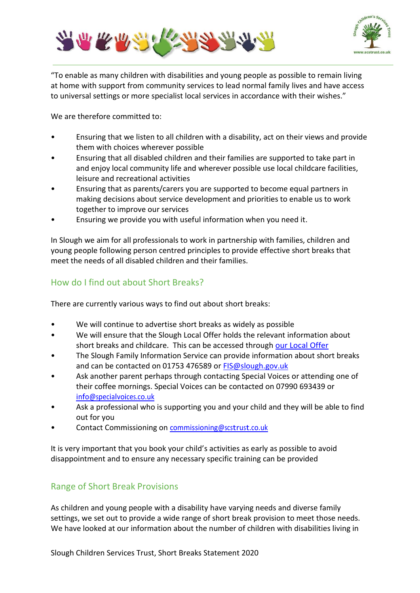



"To enable as many children with disabilities and young people as possible to remain living at home with support from community services to lead normal family lives and have access to universal settings or more specialist local services in accordance with their wishes."

We are therefore committed to:

- Ensuring that we listen to all children with a disability, act on their views and provide them with choices wherever possible
- Ensuring that all disabled children and their families are supported to take part in and enjoy local community life and wherever possible use local childcare facilities, leisure and recreational activities
- Ensuring that as parents/carers you are supported to become equal partners in making decisions about service development and priorities to enable us to work together to improve our services
- Ensuring we provide you with useful information when you need it.

In Slough we aim for all professionals to work in partnership with families, children and young people following person centred principles to provide effective short breaks that meet the needs of all disabled children and their families.

## How do I find out about Short Breaks?

There are currently various ways to find out about short breaks:

- We will continue to advertise short breaks as widely as possible
- We will ensure that the Slough Local Offer holds the relevant information about short breaks and childcare. This can be accessed through [our Local Offer](https://www.sloughfamilyservices.org.uk/kb5/sloughcst/directory/localoffer.page?directorychannel=5)
- The Slough Family Information Service can provide information about short breaks and can be contacted on 01753 476589 or [FIS@slough.gov.uk](mailto:FIS@slough.gov.uk)
- Ask another parent perhaps through contacting Special Voices or attending one of their coffee mornings. Special Voices can be contacted on 07990 693439 or [info@specialvoices.co.uk](mailto:info@specialvoices.co.uk)
- Ask a professional who is supporting you and your child and they will be able to find out for you
- Contact Commissioning on [commissioning@scstrust.co.uk](mailto:commissioning@scstrust.co.uk)

It is very important that you book your child's activities as early as possible to avoid disappointment and to ensure any necessary specific training can be provided

## Range of Short Break Provisions

As children and young people with a disability have varying needs and diverse family settings, we set out to provide a wide range of short break provision to meet those needs. We have looked at our information about the number of children with disabilities living in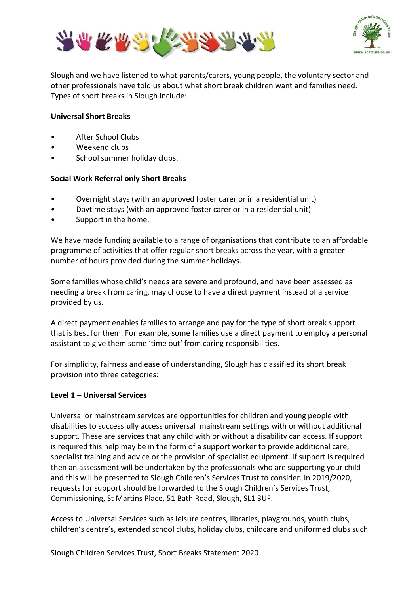



Slough and we have listened to what parents/carers, young people, the voluntary sector and other professionals have told us about what short break children want and families need. Types of short breaks in Slough include:

### **Universal Short Breaks**

- After School Clubs
- Weekend clubs
- School summer holiday clubs.

### **Social Work Referral only Short Breaks**

- Overnight stays (with an approved foster carer or in a residential unit)
- Daytime stays (with an approved foster carer or in a residential unit)
- Support in the home.

We have made funding available to a range of organisations that contribute to an affordable programme of activities that offer regular short breaks across the year, with a greater number of hours provided during the summer holidays.

Some families whose child's needs are severe and profound, and have been assessed as needing a break from caring, may choose to have a direct payment instead of a service provided by us.

A direct payment enables families to arrange and pay for the type of short break support that is best for them. For example, some families use a direct payment to employ a personal assistant to give them some 'time out' from caring responsibilities.

For simplicity, fairness and ease of understanding, Slough has classified its short break provision into three categories:

### **Level 1 – Universal Services**

Universal or mainstream services are opportunities for children and young people with disabilities to successfully access universal mainstream settings with or without additional support. These are services that any child with or without a disability can access. If support is required this help may be in the form of a support worker to provide additional care, specialist training and advice or the provision of specialist equipment. If support is required then an assessment will be undertaken by the professionals who are supporting your child and this will be presented to Slough Children's Services Trust to consider. In 2019/2020, requests for support should be forwarded to the Slough Children's Services Trust, Commissioning, St Martins Place, 51 Bath Road, Slough, SL1 3UF.

Access to Universal Services such as leisure centres, libraries, playgrounds, youth clubs, children's centre's, extended school clubs, holiday clubs, childcare and uniformed clubs such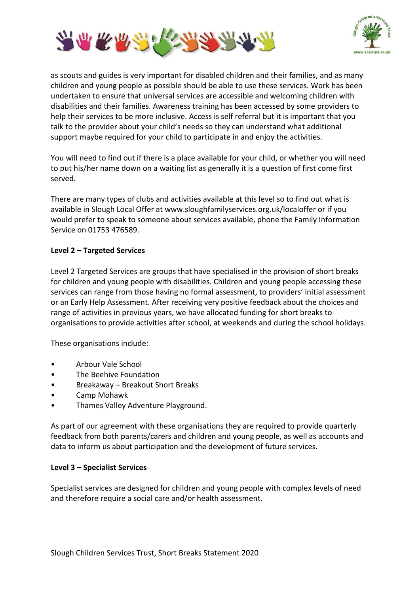



as scouts and guides is very important for disabled children and their families, and as many children and young people as possible should be able to use these services. Work has been undertaken to ensure that universal services are accessible and welcoming children with disabilities and their families. Awareness training has been accessed by some providers to help their services to be more inclusive. Access is self referral but it is important that you talk to the provider about your child's needs so they can understand what additional support maybe required for your child to participate in and enjoy the activities.

You will need to find out if there is a place available for your child, or whether you will need to put his/her name down on a waiting list as generally it is a question of first come first served.

There are many types of clubs and activities available at this level so to find out what is available in Slough Local Offer at www.sloughfamilyservices.org.uk/localoffer or if you would prefer to speak to someone about services available, phone the Family Information Service on 01753 476589.

## **Level 2 – Targeted Services**

Level 2 Targeted Services are groups that have specialised in the provision of short breaks for children and young people with disabilities. Children and young people accessing these services can range from those having no formal assessment, to providers' initial assessment or an Early Help Assessment. After receiving very positive feedback about the choices and range of activities in previous years, we have allocated funding for short breaks to organisations to provide activities after school, at weekends and during the school holidays.

These organisations include:

- Arbour Vale School
- The Beehive Foundation
- Breakaway Breakout Short Breaks
- Camp Mohawk
- Thames Valley Adventure Playground.

As part of our agreement with these organisations they are required to provide quarterly feedback from both parents/carers and children and young people, as well as accounts and data to inform us about participation and the development of future services.

### **Level 3 – Specialist Services**

Specialist services are designed for children and young people with complex levels of need and therefore require a social care and/or health assessment.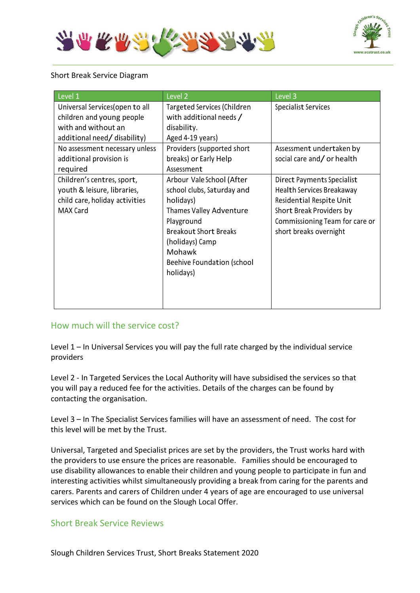



### Short Break Service Diagram

| Level <sub>1</sub>              | Level <sub>2</sub>           | Level 3                        |  |
|---------------------------------|------------------------------|--------------------------------|--|
| Universal Services (open to all | Targeted Services (Children  | Specialist Services            |  |
| children and young people       | with additional needs /      |                                |  |
| with and without an             | disability.                  |                                |  |
| additional need/ disability)    | Aged 4-19 years)             |                                |  |
| No assessment necessary unless  | Providers (supported short   | Assessment undertaken by       |  |
| additional provision is         | breaks) or Early Help        | social care and/or health      |  |
| required                        | Assessment                   |                                |  |
| Children's centres, sport,      | Arbour Vale School (After    | Direct Payments Specialist     |  |
| youth & leisure, libraries,     | school clubs, Saturday and   | Health Services Breakaway      |  |
| child care, holiday activities  | holidays)                    | Residential Respite Unit       |  |
| MAX Card                        | Thames Valley Adventure      | Short Break Providers by       |  |
|                                 | Playground                   | Commissioning Team for care or |  |
|                                 | <b>Breakout Short Breaks</b> | short breaks overnight         |  |
|                                 | (holidays) Camp              |                                |  |
|                                 | Mohawk                       |                                |  |
|                                 | Beehive Foundation (school   |                                |  |
|                                 | holidays)                    |                                |  |
|                                 |                              |                                |  |
|                                 |                              |                                |  |
|                                 |                              |                                |  |

## How much will the service cost?

Level 1 – In Universal Services you will pay the full rate charged by the individual service providers

Level 2 - In Targeted Services the Local Authority will have subsidised the services so that you will pay a reduced fee for the activities. Details of the charges can be found by contacting the organisation.

Level 3 – In The Specialist Services families will have an assessment of need. The cost for this level will be met by the Trust.

Universal, Targeted and Specialist prices are set by the providers, the Trust works hard with the providers to use ensure the prices are reasonable. Families should be encouraged to use disability allowances to enable their children and young people to participate in fun and interesting activities whilst simultaneously providing a break from caring for the parents and carers. Parents and carers of Children under 4 years of age are encouraged to use universal services which can be found on the Slough Local Offer.

## Short Break Service Reviews

Slough Children Services Trust, Short Breaks Statement 2020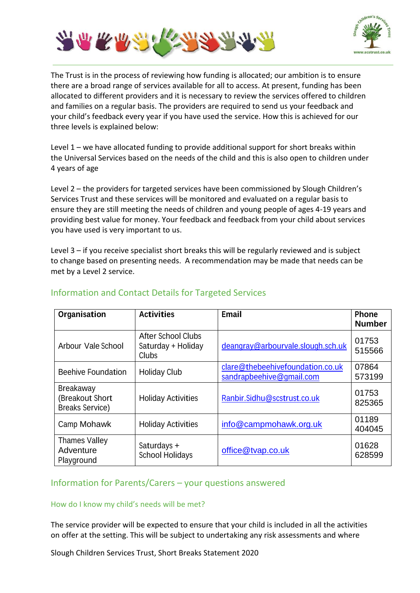



The Trust is in the process of reviewing how funding is allocated; our ambition is to ensure there are a broad range of services available for all to access. At present, funding has been allocated to different providers and it is necessary to review the services offered to children and families on a regular basis. The providers are required to send us your feedback and your child's feedback every year if you have used the service. How this is achieved for our three levels is explained below:

Level 1 – we have allocated funding to provide additional support for short breaks within the Universal Services based on the needs of the child and this is also open to children under 4 years of age

Level 2 – the providers for targeted services have been commissioned by Slough Children's Services Trust and these services will be monitored and evaluated on a regular basis to ensure they are still meeting the needs of children and young people of ages 4-19 years and providing best value for money. Your feedback and feedback from your child about services you have used is very important to us.

Level 3 – if you receive specialist short breaks this will be regularly reviewed and is subject to change based on presenting needs. A recommendation may be made that needs can be met by a Level 2 service.

| Organisation                                                  | <b>Activities</b>                                        | <b>Email</b>                                                 | <b>Phone</b><br><b>Number</b> |
|---------------------------------------------------------------|----------------------------------------------------------|--------------------------------------------------------------|-------------------------------|
| Arbour Vale School                                            | <b>After School Clubs</b><br>Saturday + Holiday<br>Clubs | deangray@arbourvale.slough.sch.uk                            | 01753<br>515566               |
| <b>Beehive Foundation</b>                                     | <b>Holiday Club</b>                                      | clare@thebeehivefoundation.co.uk<br>sandrapbeehive@gmail.com | 07864<br>573199               |
| <b>Breakaway</b><br>(Breakout Short<br><b>Breaks Service)</b> | <b>Holiday Activities</b>                                | Ranbir.Sidhu@scstrust.co.uk                                  | 01753<br>825365               |
| Camp Mohawk                                                   | <b>Holiday Activities</b>                                | info@campmohawk.org.uk                                       | 01189<br>404045               |
| <b>Thames Valley</b><br>Adventure<br>Playground               | Saturdays +<br><b>School Holidays</b>                    | office@tvap.co.uk                                            | 01628<br>628599               |

# Information and Contact Details for Targeted Services

# Information for Parents/Carers – your questions answered

## How do I know my child's needs will be met?

The service provider will be expected to ensure that your child is included in all the activities on offer at the setting. This will be subject to undertaking any risk assessments and where

Slough Children Services Trust, Short Breaks Statement 2020